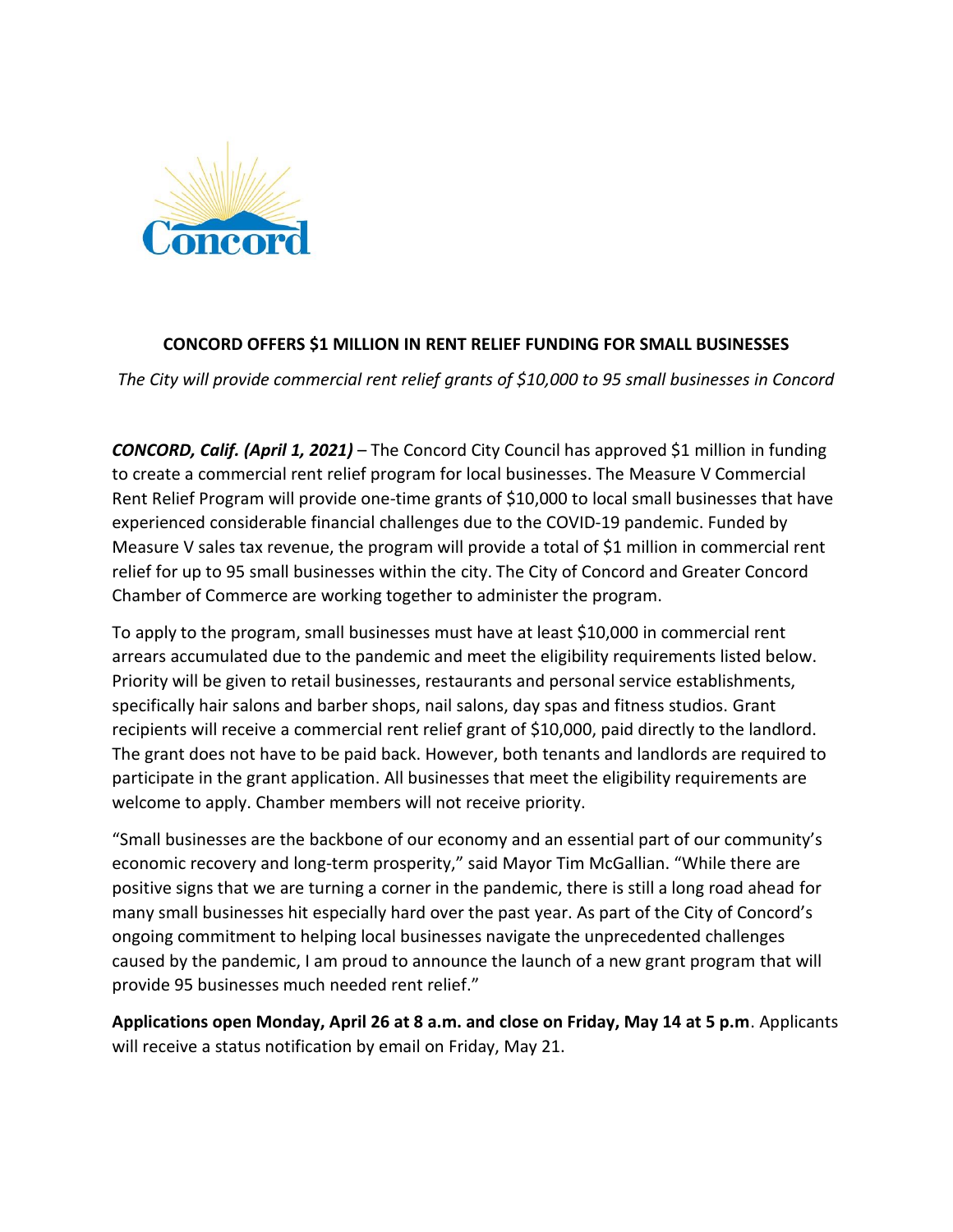

## **CONCORD OFFERS \$1 MILLION IN RENT RELIEF FUNDING FOR SMALL BUSINESSES**

*The City will provide commercial rent relief grants of \$10,000 to 95 small businesses in Concord*

*CONCORD, Calif. (April 1, 2021)* – The Concord City Council has approved \$1 million in funding to create a commercial rent relief program for local businesses. The Measure V Commercial Rent Relief Program will provide one-time grants of \$10,000 to local small businesses that have experienced considerable financial challenges due to the COVID-19 pandemic. Funded by Measure V sales tax revenue, the program will provide a total of \$1 million in commercial rent relief for up to 95 small businesses within the city. The City of Concord and Greater Concord Chamber of Commerce are working together to administer the program.

To apply to the program, small businesses must have at least \$10,000 in commercial rent arrears accumulated due to the pandemic and meet the eligibility requirements listed below. Priority will be given to retail businesses, restaurants and personal service establishments, specifically hair salons and barber shops, nail salons, day spas and fitness studios. Grant recipients will receive a commercial rent relief grant of \$10,000, paid directly to the landlord. The grant does not have to be paid back. However, both tenants and landlords are required to participate in the grant application. All businesses that meet the eligibility requirements are welcome to apply. Chamber members will not receive priority.

"Small businesses are the backbone of our economy and an essential part of our community's economic recovery and long-term prosperity," said Mayor Tim McGallian. "While there are positive signs that we are turning a corner in the pandemic, there is still a long road ahead for many small businesses hit especially hard over the past year. As part of the City of Concord's ongoing commitment to helping local businesses navigate the unprecedented challenges caused by the pandemic, I am proud to announce the launch of a new grant program that will provide 95 businesses much needed rent relief."

**Applications open Monday, April 26 at 8 a.m. and close on Friday, May 14 at 5 p.m**. Applicants will receive a status notification by email on Friday, May 21.